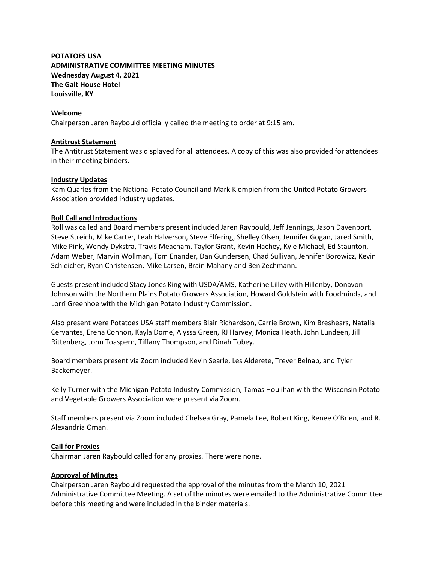# **POTATOES USA ADMINISTRATIVE COMMITTEE MEETING MINUTES Wednesday August 4, 2021 The Galt House Hotel Louisville, KY**

# **Welcome**

Chairperson Jaren Raybould officially called the meeting to order at 9:15 am.

# **Antitrust Statement**

The Antitrust Statement was displayed for all attendees. A copy of this was also provided for attendees in their meeting binders.

# **Industry Updates**

Kam Quarles from the National Potato Council and Mark Klompien from the United Potato Growers Association provided industry updates.

# **Roll Call and Introductions**

Roll was called and Board members present included Jaren Raybould, Jeff Jennings, Jason Davenport, Steve Streich, Mike Carter, Leah Halverson, Steve Elfering, Shelley Olsen, Jennifer Gogan, Jared Smith, Mike Pink, Wendy Dykstra, Travis Meacham, Taylor Grant, Kevin Hachey, Kyle Michael, Ed Staunton, Adam Weber, Marvin Wollman, Tom Enander, Dan Gundersen, Chad Sullivan, Jennifer Borowicz, Kevin Schleicher, Ryan Christensen, Mike Larsen, Brain Mahany and Ben Zechmann.

Guests present included Stacy Jones King with USDA/AMS, Katherine Lilley with Hillenby, Donavon Johnson with the Northern Plains Potato Growers Association, Howard Goldstein with Foodminds, and Lorri Greenhoe with the Michigan Potato Industry Commission.

Also present were Potatoes USA staff members Blair Richardson, Carrie Brown, Kim Breshears, Natalia Cervantes, Erena Connon, Kayla Dome, Alyssa Green, RJ Harvey, Monica Heath, John Lundeen, Jill Rittenberg, John Toaspern, Tiffany Thompson, and Dinah Tobey.

Board members present via Zoom included Kevin Searle, Les Alderete, Trever Belnap, and Tyler Backemeyer.

Kelly Turner with the Michigan Potato Industry Commission, Tamas Houlihan with the Wisconsin Potato and Vegetable Growers Association were present via Zoom.

Staff members present via Zoom included Chelsea Gray, Pamela Lee, Robert King, Renee O'Brien, and R. Alexandria Oman.

#### **Call for Proxies**

Chairman Jaren Raybould called for any proxies. There were none.

#### **Approval of Minutes**

Chairperson Jaren Raybould requested the approval of the minutes from the March 10, 2021 Administrative Committee Meeting. A set of the minutes were emailed to the Administrative Committee before this meeting and were included in the binder materials.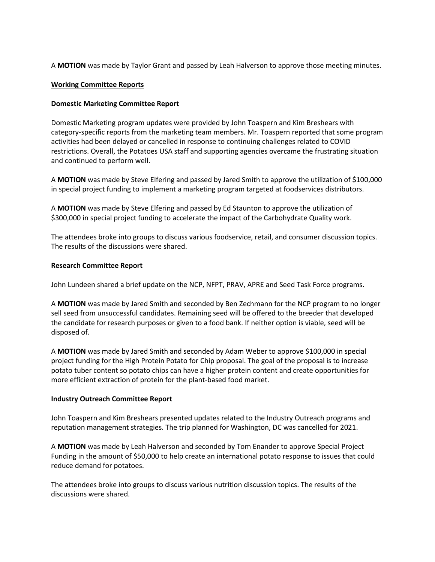A **MOTION** was made by Taylor Grant and passed by Leah Halverson to approve those meeting minutes.

# **Working Committee Reports**

# **Domestic Marketing Committee Report**

Domestic Marketing program updates were provided by John Toaspern and Kim Breshears with category-specific reports from the marketing team members. Mr. Toaspern reported that some program activities had been delayed or cancelled in response to continuing challenges related to COVID restrictions. Overall, the Potatoes USA staff and supporting agencies overcame the frustrating situation and continued to perform well.

A **MOTION** was made by Steve Elfering and passed by Jared Smith to approve the utilization of \$100,000 in special project funding to implement a marketing program targeted at foodservices distributors.

A **MOTION** was made by Steve Elfering and passed by Ed Staunton to approve the utilization of \$300,000 in special project funding to accelerate the impact of the Carbohydrate Quality work.

The attendees broke into groups to discuss various foodservice, retail, and consumer discussion topics. The results of the discussions were shared.

# **Research Committee Report**

John Lundeen shared a brief update on the NCP, NFPT, PRAV, APRE and Seed Task Force programs.

A **MOTION** was made by Jared Smith and seconded by Ben Zechmann for the NCP program to no longer sell seed from unsuccessful candidates. Remaining seed will be offered to the breeder that developed the candidate for research purposes or given to a food bank. If neither option is viable, seed will be disposed of.

A **MOTION** was made by Jared Smith and seconded by Adam Weber to approve \$100,000 in special project funding for the High Protein Potato for Chip proposal. The goal of the proposal is to increase potato tuber content so potato chips can have a higher protein content and create opportunities for more efficient extraction of protein for the plant-based food market.

#### **Industry Outreach Committee Report**

John Toaspern and Kim Breshears presented updates related to the Industry Outreach programs and reputation management strategies. The trip planned for Washington, DC was cancelled for 2021.

A **MOTION** was made by Leah Halverson and seconded by Tom Enander to approve Special Project Funding in the amount of \$50,000 to help create an international potato response to issues that could reduce demand for potatoes.

The attendees broke into groups to discuss various nutrition discussion topics. The results of the discussions were shared.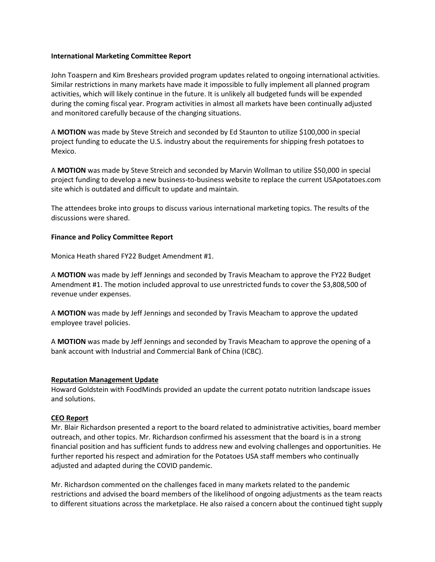# **International Marketing Committee Report**

John Toaspern and Kim Breshears provided program updates related to ongoing international activities. Similar restrictions in many markets have made it impossible to fully implement all planned program activities, which will likely continue in the future. It is unlikely all budgeted funds will be expended during the coming fiscal year. Program activities in almost all markets have been continually adjusted and monitored carefully because of the changing situations.

A **MOTION** was made by Steve Streich and seconded by Ed Staunton to utilize \$100,000 in special project funding to educate the U.S. industry about the requirements for shipping fresh potatoes to Mexico.

A **MOTION** was made by Steve Streich and seconded by Marvin Wollman to utilize \$50,000 in special project funding to develop a new business-to-business website to replace the current USApotatoes.com site which is outdated and difficult to update and maintain.

The attendees broke into groups to discuss various international marketing topics. The results of the discussions were shared.

# **Finance and Policy Committee Report**

Monica Heath shared FY22 Budget Amendment #1.

A **MOTION** was made by Jeff Jennings and seconded by Travis Meacham to approve the FY22 Budget Amendment #1. The motion included approval to use unrestricted funds to cover the \$3,808,500 of revenue under expenses.

A **MOTION** was made by Jeff Jennings and seconded by Travis Meacham to approve the updated employee travel policies.

A **MOTION** was made by Jeff Jennings and seconded by Travis Meacham to approve the opening of a bank account with Industrial and Commercial Bank of China (ICBC).

#### **Reputation Management Update**

Howard Goldstein with FoodMinds provided an update the current potato nutrition landscape issues and solutions.

#### **CEO Report**

Mr. Blair Richardson presented a report to the board related to administrative activities, board member outreach, and other topics. Mr. Richardson confirmed his assessment that the board is in a strong financial position and has sufficient funds to address new and evolving challenges and opportunities. He further reported his respect and admiration for the Potatoes USA staff members who continually adjusted and adapted during the COVID pandemic.

Mr. Richardson commented on the challenges faced in many markets related to the pandemic restrictions and advised the board members of the likelihood of ongoing adjustments as the team reacts to different situations across the marketplace. He also raised a concern about the continued tight supply